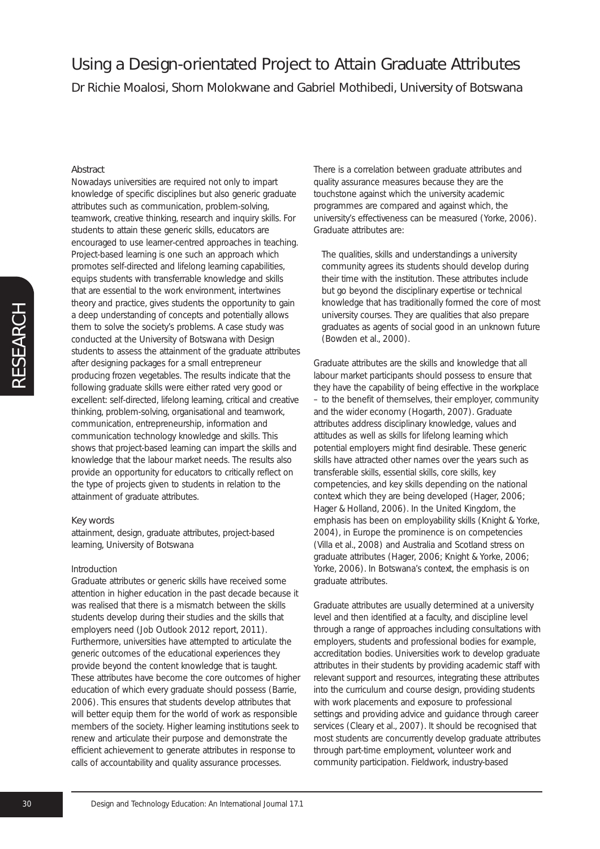# Using a Design-orientated Project to Attain Graduate Attributes Dr Richie Moalosi, Shorn Molokwane and Gabriel Mothibedi, University of Botswana

#### Abstract

Nowadays universities are required not only to impart knowledge of specific disciplines but also generic graduate attributes such as communication, problem-solving, teamwork, creative thinking, research and inquiry skills. For students to attain these generic skills, educators are encouraged to use learner-centred approaches in teaching. Project-based learning is one such an approach which promotes self-directed and lifelong learning capabilities, equips students with transferrable knowledge and skills that are essential to the work environment, intertwines theory and practice, gives students the opportunity to gain a deep understanding of concepts and potentially allows them to solve the society's problems. A case study was conducted at the University of Botswana with Design students to assess the attainment of the graduate attributes after designing packages for a small entrepreneur producing frozen vegetables. The results indicate that the following graduate skills were either rated very good or excellent: self-directed, lifelong learning, critical and creative thinking, problem-solving, organisational and teamwork, communication, entrepreneurship, information and communication technology knowledge and skills. This shows that project-based learning can impart the skills and knowledge that the labour market needs. The results also provide an opportunity for educators to critically reflect on the type of projects given to students in relation to the attainment of graduate attributes.

#### Key words

attainment, design, graduate attributes, project-based learning, University of Botswana

#### Introduction

Graduate attributes or generic skills have received some attention in higher education in the past decade because it was realised that there is a mismatch between the skills students develop during their studies and the skills that employers need (*Job Outlook 2012 report*, 2011). Furthermore, universities have attempted to articulate the generic outcomes of the educational experiences they provide beyond the content knowledge that is taught. These attributes have become the core outcomes of higher education of which every graduate should possess (Barrie, 2006). This ensures that students develop attributes that will better equip them for the world of work as responsible members of the society. Higher learning institutions seek to renew and articulate their purpose and demonstrate the efficient achievement to generate attributes in response to calls of accountability and quality assurance processes.

There is a correlation between graduate attributes and quality assurance measures because they are the touchstone against which the university academic programmes are compared and against which, the university's effectiveness can be measured (Yorke, 2006). Graduate attributes are:

The qualities, skills and understandings a university community agrees its students should develop during their time with the institution. These attributes include but go beyond the disciplinary expertise or technical knowledge that has traditionally formed the core of most university courses. They are qualities that also prepare graduates as agents of social good in an unknown future (Bowden et al., 2000).

Graduate attributes are the skills and knowledge that all labour market participants should possess to ensure that they have the capability of being effective in the workplace – to the benefit of themselves, their employer, community and the wider economy (Hogarth, 2007). Graduate attributes address disciplinary knowledge, values and attitudes as well as skills for lifelong learning which potential employers might find desirable. These generic skills have attracted other names over the years such as transferable skills, essential skills, core skills, key competencies, and key skills depending on the national context which they are being developed (Hager, 2006; Hager & Holland, 2006). In the United Kingdom, the emphasis has been on employability skills (Knight & Yorke, 2004), in Europe the prominence is on competencies (Villa et al., 2008) and Australia and Scotland stress on graduate attributes (Hager, 2006; Knight & Yorke, 2006; Yorke, 2006). In Botswana's context, the emphasis is on graduate attributes.

Graduate attributes are usually determined at a university level and then identified at a faculty, and discipline level through a range of approaches including consultations with employers, students and professional bodies for example, accreditation bodies. Universities work to develop graduate attributes in their students by providing academic staff with relevant support and resources, integrating these attributes into the curriculum and course design, providing students with work placements and exposure to professional settings and providing advice and guidance through career services (Cleary et al., 2007). It should be recognised that most students are concurrently develop graduate attributes through part-time employment, volunteer work and community participation. Fieldwork, industry-based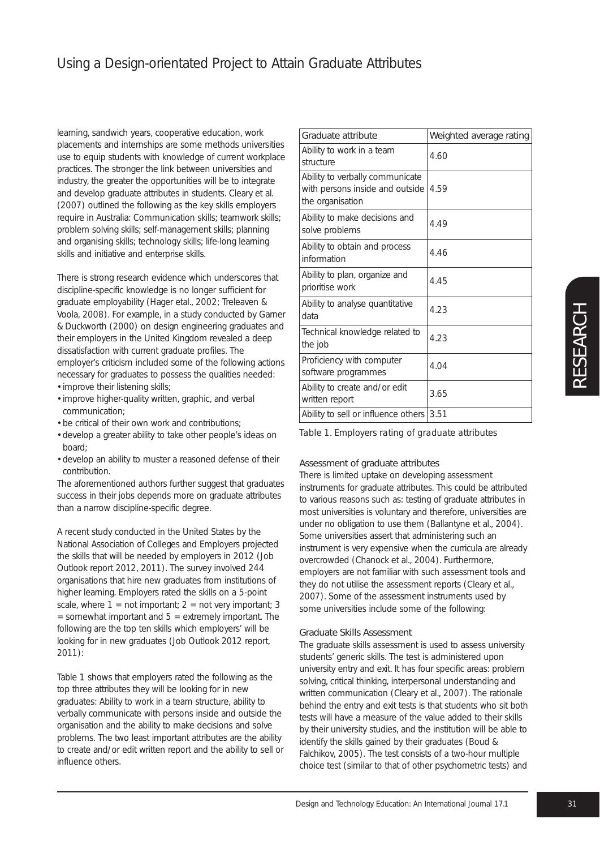learning, sandwich years, cooperative education, work placements and internships are some methods universities use to equip students with knowledge of current workplace practices. The stronger the link between universities and industry, the greater the opportunities will be to integrate and develop graduate attributes in students. Cleary et al. (2007) outlined the following as the key skills employers require in Australia: Communication skills; teamwork skills; problem solving skills; self-management skills; planning and organising skills; technology skills; life-long learning skills and initiative and enterprise skills.

There is strong research evidence which underscores that discipline-specific knowledge is no longer sufficient for graduate employability (Hager etal., 2002; Treleaven & Voola, 2008). For example, in a study conducted by Garner & Duckworth (2000) on design engineering graduates and their employers in the United Kingdom revealed a deep dissatisfaction with current graduate profiles. The employer's criticism included some of the following actions necessary for graduates to possess the qualities needed: • improve their listening skills;

- improve higher-quality written, graphic, and verbal
- communication; • be critical of their own work and contributions;
- develop a greater ability to take other people's ideas on board;
- develop an ability to muster a reasoned defense of their contribution.

The aforementioned authors further suggest that graduates success in their jobs depends more on graduate attributes than a narrow discipline-specific degree.

A recent study conducted in the United States by the National Association of Colleges and Employers projected the skills that will be needed by employers in 2012 (Job Outlook report 2012, 2011). The survey involved 244 organisations that hire new graduates from institutions of higher learning. Employers rated the skills on a 5-point scale, where  $1 = \text{not import}$ ;  $2 = \text{not very important}$ ; 3  $=$  somewhat important and  $5 =$  extremely important. The following are the top ten skills which employers' will be looking for in new graduates (Job Outlook 2012 report, 2011):

Table 1 shows that employers rated the following as the top three attributes they will be looking for in new graduates: Ability to work in a team structure, ability to verbally communicate with persons inside and outside the organisation and the ability to make decisions and solve problems. The two least important attributes are the ability to create and/or edit written report and the ability to sell or influence others.

| Graduate attribute                                                                     | Weighted average rating |
|----------------------------------------------------------------------------------------|-------------------------|
| Ability to work in a team<br>structure                                                 | 4.60                    |
| Ability to verbally communicate<br>with persons inside and outside<br>the organisation | 4.59                    |
| Ability to make decisions and<br>solve problems                                        | 4.49                    |
| Ability to obtain and process<br>information                                           | 4.46                    |
| Ability to plan, organize and<br>prioritise work                                       | 4.45                    |
| Ability to analyse quantitative<br>data                                                | 4.23                    |
| Technical knowledge related to<br>the job                                              | 4.23                    |
| Proficiency with computer<br>software programmes                                       | 4.04                    |
| Ability to create and/or edit<br>written report                                        | 3.65                    |
| Ability to sell or influence others                                                    | 3.51                    |

*Table 1. Employers rating of graduate attributes*

# Assessment of graduate attributes

There is limited uptake on developing assessment instruments for graduate attributes. This could be attributed to various reasons such as: testing of graduate attributes in most universities is voluntary and therefore, universities are under no obligation to use them (Ballantyne et al., 2004). Some universities assert that administering such an instrument is very expensive when the curricula are already overcrowded (Chanock et al., 2004). Furthermore, employers are not familiar with such assessment tools and they do not utilise the assessment reports (Cleary et al., 2007). Some of the assessment instruments used by some universities include some of the following:

# Graduate Skills Assessment

The graduate skills assessment is used to assess university students' generic skills. The test is administered upon university entry and exit. It has four specific areas: problem solving, critical thinking, interpersonal understanding and written communication (Cleary et al., 2007). The rationale behind the entry and exit tests is that students who sit both tests will have a measure of the value added to their skills by their university studies, and the institution will be able to identify the skills gained by their graduates (Boud & Falchikov, 2005). The test consists of a two-hour multiple choice test (similar to that of other psychometric tests) and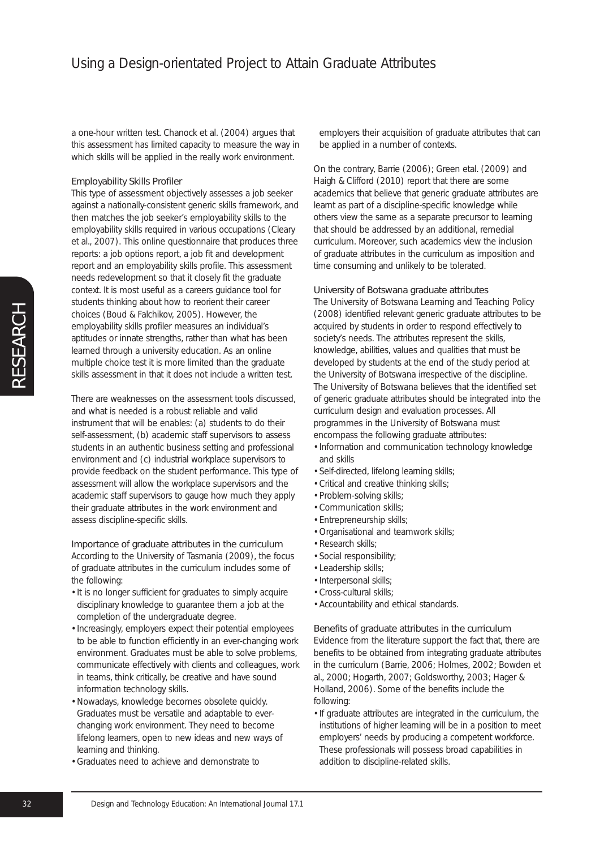a one-hour written test. Chanock et al. (2004) argues that this assessment has limited capacity to measure the way in which skills will be applied in the really work environment.

#### Employability Skills Profiler

This type of assessment objectively assesses a job seeker against a nationally-consistent generic skills framework, and then matches the job seeker's employability skills to the employability skills required in various occupations (Cleary et al., 2007). This online questionnaire that produces three reports: a job options report, a job fit and development report and an employability skills profile. This assessment needs redevelopment so that it closely fit the graduate context. It is most useful as a careers guidance tool for students thinking about how to reorient their career choices (Boud & Falchikov, 2005). However, the employability skills profiler measures an individual's aptitudes or innate strengths, rather than what has been learned through a university education. As an online multiple choice test it is more limited than the graduate skills assessment in that it does not include a written test.

There are weaknesses on the assessment tools discussed, and what is needed is a robust reliable and valid instrument that will be enables: (a) students to do their self-assessment, (b) academic staff supervisors to assess students in an authentic business setting and professional environment and (c) industrial workplace supervisors to provide feedback on the student performance. This type of assessment will allow the workplace supervisors and the academic staff supervisors to gauge how much they apply their graduate attributes in the work environment and assess discipline-specific skills.

#### Importance of graduate attributes in the curriculum

According to the University of Tasmania (2009), the focus of graduate attributes in the curriculum includes some of the following:

- It is no longer sufficient for graduates to simply acquire disciplinary knowledge to guarantee them a job at the completion of the undergraduate degree.
- Increasingly, employers expect their potential employees to be able to function efficiently in an ever-changing work environment. Graduates must be able to solve problems, communicate effectively with clients and colleagues, work in teams, think critically, be creative and have sound information technology skills.
- Nowadays, knowledge becomes obsolete quickly. Graduates must be versatile and adaptable to everchanging work environment. They need to become lifelong learners, open to new ideas and new ways of learning and thinking.
- Graduates need to achieve and demonstrate to

employers their acquisition of graduate attributes that can be applied in a number of contexts.

On the contrary, Barrie (2006); Green etal. (2009) and Haigh & Clifford (2010) report that there are some academics that believe that generic graduate attributes are learnt as part of a discipline-specific knowledge while others view the same as a separate precursor to learning that should be addressed by an additional, remedial curriculum. Moreover, such academics view the inclusion of graduate attributes in the curriculum as imposition and time consuming and unlikely to be tolerated.

### University of Botswana graduate attributes

The University of Botswana *Learning and Teaching Policy* (2008) identified relevant generic graduate attributes to be acquired by students in order to respond effectively to society's needs. The attributes represent the skills, knowledge, abilities, values and qualities that must be developed by students at the end of the study period at the University of Botswana irrespective of the discipline. The University of Botswana believes that the identified set of generic graduate attributes should be integrated into the curriculum design and evaluation processes. All programmes in the University of Botswana must encompass the following graduate attributes:

- Information and communication technology knowledge and skills
- Self-directed, lifelong learning skills;
- Critical and creative thinking skills;
- Problem-solving skills;
- Communication skills;
- Entrepreneurship skills;
- Organisational and teamwork skills;
- Research skills;
- Social responsibility;
- Leadership skills;
- Interpersonal skills;
- Cross-cultural skills;
- Accountability and ethical standards.

#### Benefits of graduate attributes in the curriculum

Evidence from the literature support the fact that, there are benefits to be obtained from integrating graduate attributes in the curriculum (Barrie, 2006; Holmes, 2002; Bowden et al., 2000; Hogarth, 2007; Goldsworthy, 2003; Hager & Holland, 2006). Some of the benefits include the following:

• If graduate attributes are integrated in the curriculum, the institutions of higher learning will be in a position to meet employers' needs by producing a competent workforce. These professionals will possess broad capabilities in addition to discipline-related skills.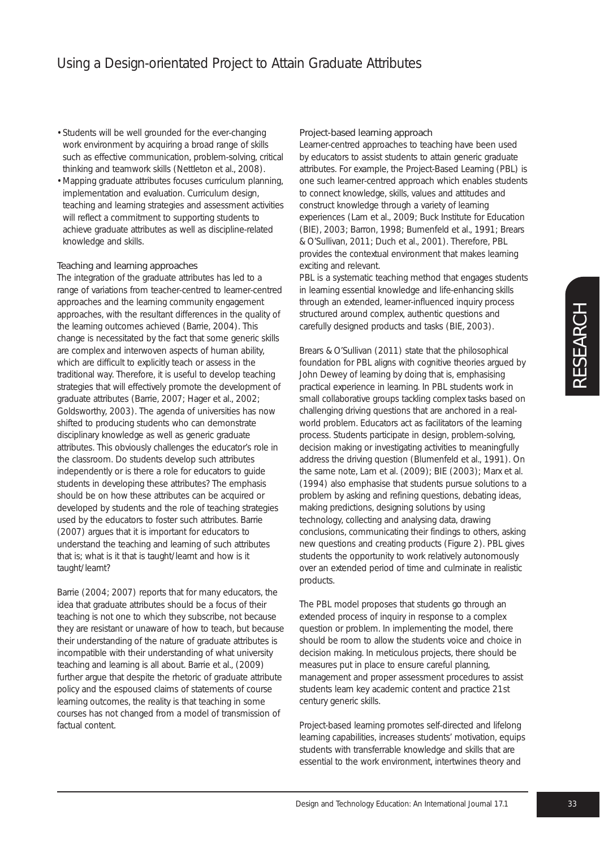- Students will be well grounded for the ever-changing work environment by acquiring a broad range of skills such as effective communication, problem-solving, critical thinking and teamwork skills (Nettleton et al., 2008).
- Mapping graduate attributes focuses curriculum planning, implementation and evaluation. Curriculum design, teaching and learning strategies and assessment activities will reflect a commitment to supporting students to achieve graduate attributes as well as discipline-related knowledge and skills.

#### Teaching and learning approaches

The integration of the graduate attributes has led to a range of variations from teacher-centred to learner-centred approaches and the learning community engagement approaches, with the resultant differences in the quality of the learning outcomes achieved (Barrie, 2004). This change is necessitated by the fact that some generic skills are complex and interwoven aspects of human ability, which are difficult to explicitly teach or assess in the traditional way. Therefore, it is useful to develop teaching strategies that will effectively promote the development of graduate attributes (Barrie, 2007; Hager et al., 2002; Goldsworthy, 2003). The agenda of universities has now shifted to producing students who can demonstrate disciplinary knowledge as well as generic graduate attributes. This obviously challenges the educator's role in the classroom. Do students develop such attributes independently or is there a role for educators to guide students in developing these attributes? The emphasis should be on how these attributes can be acquired or developed by students and the role of teaching strategies used by the educators to foster such attributes. Barrie (2007) argues that it is important for educators to understand the teaching and learning of such attributes that is; what is it that is taught/learnt and how is it taught/learnt?

Barrie (2004; 2007) reports that for many educators, the idea that graduate attributes should be a focus of their teaching is not one to which they subscribe, not because they are resistant or unaware of how to teach, but because their understanding of the nature of graduate attributes is incompatible with their understanding of what university teaching and learning is all about. Barrie et al., (2009) further argue that despite the rhetoric of graduate attribute policy and the espoused claims of statements of course learning outcomes, the reality is that teaching in some courses has not changed from a model of transmission of factual content.

#### Project-based learning approach

Learner-centred approaches to teaching have been used by educators to assist students to attain generic graduate attributes. For example, the Project-Based Learning (PBL) is one such learner-centred approach which enables students to connect knowledge, skills, values and attitudes and construct knowledge through a variety of learning experiences (Lam et al., 2009; Buck Institute for Education (BIE), 2003; Barron, 1998; Bumenfeld et al., 1991; Brears & O'Sullivan, 2011; Duch et al., 2001). Therefore, PBL provides the contextual environment that makes learning exciting and relevant.

PBL is a systematic teaching method that engages students in learning essential knowledge and life-enhancing skills through an extended, learner-influenced inquiry process structured around complex, authentic questions and carefully designed products and tasks (BIE, 2003).

Brears & O'Sullivan (2011) state that the philosophical foundation for PBL aligns with cognitive theories argued by John Dewey of learning by doing that is, emphasising practical experience in learning. In PBL students work in small collaborative groups tackling complex tasks based on challenging driving questions that are anchored in a realworld problem. Educators act as facilitators of the learning process. Students participate in design, problem-solving, decision making or investigating activities to meaningfully address the driving question (Blumenfeld et al., 1991). On the same note, Lam et al. (2009); BIE (2003); Marx et al. (1994) also emphasise that students pursue solutions to a problem by asking and refining questions, debating ideas, making predictions, designing solutions by using technology, collecting and analysing data, drawing conclusions, communicating their findings to others, asking new questions and creating products (Figure 2). PBL gives students the opportunity to work relatively autonomously over an extended period of time and culminate in realistic products.

The PBL model proposes that students go through an extended process of inquiry in response to a complex question or problem. In implementing the model, there should be room to allow the students voice and choice in decision making. In meticulous projects, there should be measures put in place to ensure careful planning, management and proper assessment procedures to assist students learn key academic content and practice 21st century generic skills.

Project-based learning promotes self-directed and lifelong learning capabilities, increases students' motivation, equips students with transferrable knowledge and skills that are essential to the work environment, intertwines theory and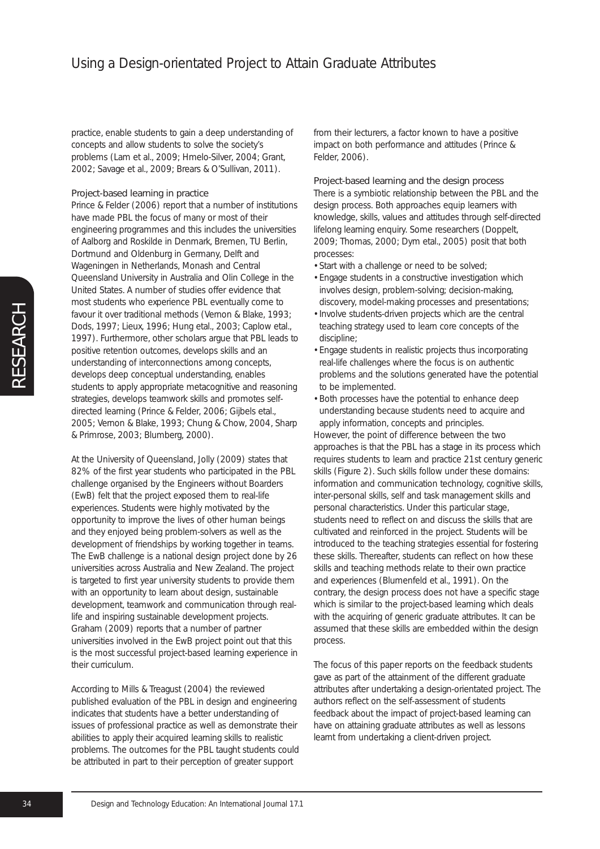practice, enable students to gain a deep understanding of concepts and allow students to solve the society's problems (Lam et al., 2009; Hmelo-Silver, 2004; Grant, 2002; Savage et al., 2009; Brears & O'Sullivan, 2011).

### Project-based learning in practice

Prince & Felder (2006) report that a number of institutions have made PBL the focus of many or most of their engineering programmes and this includes the universities of Aalborg and Roskilde in Denmark, Bremen, TU Berlin, Dortmund and Oldenburg in Germany, Delft and Wageningen in Netherlands, Monash and Central Queensland University in Australia and Olin College in the United States. A number of studies offer evidence that most students who experience PBL eventually come to favour it over traditional methods (Vernon & Blake, 1993; Dods, 1997; Lieux, 1996; Hung etal., 2003; Caplow etal., 1997). Furthermore, other scholars argue that PBL leads to positive retention outcomes, develops skills and an understanding of interconnections among concepts, develops deep conceptual understanding, enables students to apply appropriate metacognitive and reasoning strategies, develops teamwork skills and promotes selfdirected learning (Prince & Felder, 2006; Gijbels etal., 2005; Vernon & Blake, 1993; Chung & Chow, 2004, Sharp & Primrose, 2003; Blumberg, 2000).

At the University of Queensland, Jolly (2009) states that 82% of the first year students who participated in the PBL challenge organised by the Engineers without Boarders (EwB) felt that the project exposed them to real-life experiences. Students were highly motivated by the opportunity to improve the lives of other human beings and they enjoyed being problem-solvers as well as the development of friendships by working together in teams. The EwB challenge is a national design project done by 26 universities across Australia and New Zealand. The project is targeted to first year university students to provide them with an opportunity to learn about design, sustainable development, teamwork and communication through reallife and inspiring sustainable development projects. Graham (2009) reports that a number of partner universities involved in the EwB project point out that this is the most successful project-based learning experience in their curriculum.

According to Mills & Treagust (2004) the reviewed published evaluation of the PBL in design and engineering indicates that students have a better understanding of issues of professional practice as well as demonstrate their abilities to apply their acquired learning skills to realistic problems. The outcomes for the PBL taught students could be attributed in part to their perception of greater support

from their lecturers, a factor known to have a positive impact on both performance and attitudes (Prince & Felder, 2006).

#### Project-based learning and the design process

There is a symbiotic relationship between the PBL and the design process. Both approaches equip learners with knowledge, skills, values and attitudes through self-directed lifelong learning enquiry. Some researchers (Doppelt, 2009; Thomas, 2000; Dym etal., 2005) posit that both processes:

- Start with a challenge or need to be solved;
- Engage students in a constructive investigation which involves design, problem-solving; decision-making, discovery, model-making processes and presentations;
- Involve students-driven projects which are the central teaching strategy used to learn core concepts of the discipline;
- Engage students in realistic projects thus incorporating real-life challenges where the focus is on authentic problems and the solutions generated have the potential to be implemented.
- Both processes have the potential to enhance deep understanding because students need to acquire and apply information, concepts and principles.

However, the point of difference between the two approaches is that the PBL has a stage in its process which requires students to learn and practice 21st century generic skills (Figure 2). Such skills follow under these domains: information and communication technology, cognitive skills, inter-personal skills, self and task management skills and personal characteristics. Under this particular stage, students need to reflect on and discuss the skills that are cultivated and reinforced in the project. Students will be introduced to the teaching strategies essential for fostering these skills. Thereafter, students can reflect on how these skills and teaching methods relate to their own practice and experiences (Blumenfeld et al., 1991). On the contrary, the design process does not have a specific stage which is similar to the project-based learning which deals with the acquiring of generic graduate attributes. It can be assumed that these skills are embedded within the design process.

The focus of this paper reports on the feedback students gave as part of the attainment of the different graduate attributes after undertaking a design-orientated project. The authors reflect on the self-assessment of students feedback about the impact of project-based learning can have on attaining graduate attributes as well as lessons learnt from undertaking a client-driven project.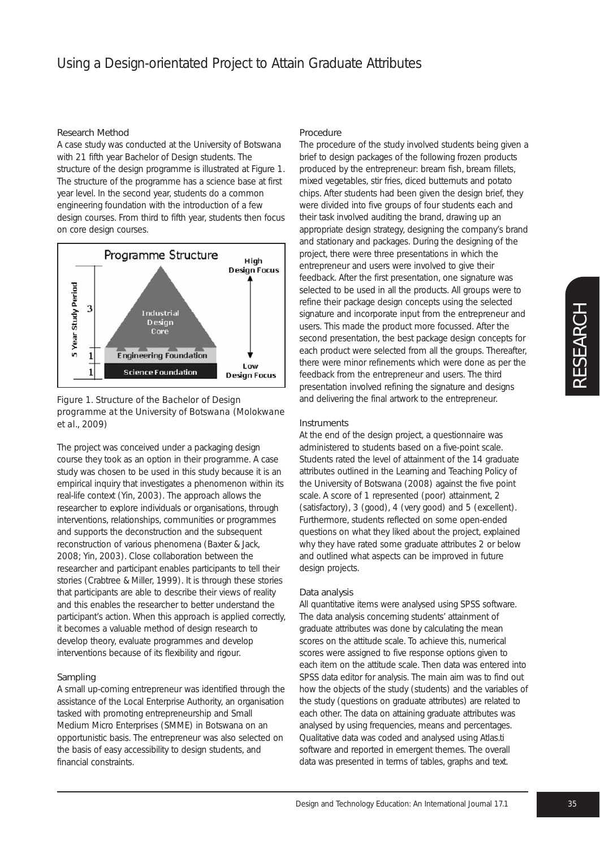#### Research Method

A case study was conducted at the University of Botswana with 21 fifth year Bachelor of Design students. The structure of the design programme is illustrated at Figure 1. The structure of the programme has a science base at first year level. In the second year, students do a common engineering foundation with the introduction of a few design courses. From third to fifth year, students then focus on core design courses.



*Figure 1. Structure of the Bachelor of Design programme at the University of Botswana (Molokwane et al., 2009)*

The project was conceived under a packaging design course they took as an option in their programme. A case study was chosen to be used in this study because it is an empirical inquiry that investigates a phenomenon within its real-life context (Yin, 2003). The approach allows the researcher to explore individuals or organisations, through interventions, relationships, communities or programmes and supports the deconstruction and the subsequent reconstruction of various phenomena (Baxter & Jack, 2008; Yin, 2003). Close collaboration between the researcher and participant enables participants to tell their stories (Crabtree & Miller, 1999). It is through these stories that participants are able to describe their views of reality and this enables the researcher to better understand the participant's action. When this approach is applied correctly, it becomes a valuable method of design research to develop theory, evaluate programmes and develop interventions because of its flexibility and rigour.

#### Sampling

A small up-coming entrepreneur was identified through the assistance of the Local Enterprise Authority, an organisation tasked with promoting entrepreneurship and Small Medium Micro Enterprises (SMME) in Botswana on an opportunistic basis. The entrepreneur was also selected on the basis of easy accessibility to design students, and financial constraints.

#### Procedure

The procedure of the study involved students being given a brief to design packages of the following frozen products produced by the entrepreneur: bream fish, bream fillets, mixed vegetables, stir fries, diced butternuts and potato chips. After students had been given the design brief, they were divided into five groups of four students each and their task involved auditing the brand, drawing up an appropriate design strategy, designing the company's brand and stationary and packages. During the designing of the project, there were three presentations in which the entrepreneur and users were involved to give their feedback. After the first presentation, one signature was selected to be used in all the products. All groups were to refine their package design concepts using the selected signature and incorporate input from the entrepreneur and users. This made the product more focussed. After the second presentation, the best package design concepts for each product were selected from all the groups. Thereafter, there were minor refinements which were done as per the feedback from the entrepreneur and users. The third presentation involved refining the signature and designs and delivering the final artwork to the entrepreneur.

#### Instruments

At the end of the design project, a questionnaire was administered to students based on a five-point scale. Students rated the level of attainment of the 14 graduate attributes outlined in the Learning and Teaching Policy of the University of Botswana (2008) against the five point scale. A score of 1 represented (poor) attainment, 2 (satisfactory), 3 (good), 4 (very good) and 5 (excellent). Furthermore, students reflected on some open-ended questions on what they liked about the project, explained why they have rated some graduate attributes 2 or below and outlined what aspects can be improved in future design projects.

#### Data analysis

All quantitative items were analysed using SPSS software. The data analysis concerning students' attainment of graduate attributes was done by calculating the mean scores on the attitude scale. To achieve this, numerical scores were assigned to five response options given to each item on the attitude scale. Then data was entered into SPSS data editor for analysis. The main aim was to find out how the objects of the study (students) and the variables of the study (questions on graduate attributes) are related to each other. The data on attaining graduate attributes was analysed by using frequencies, means and percentages. Qualitative data was coded and analysed using Atlas.ti software and reported in emergent themes. The overall data was presented in terms of tables, graphs and text.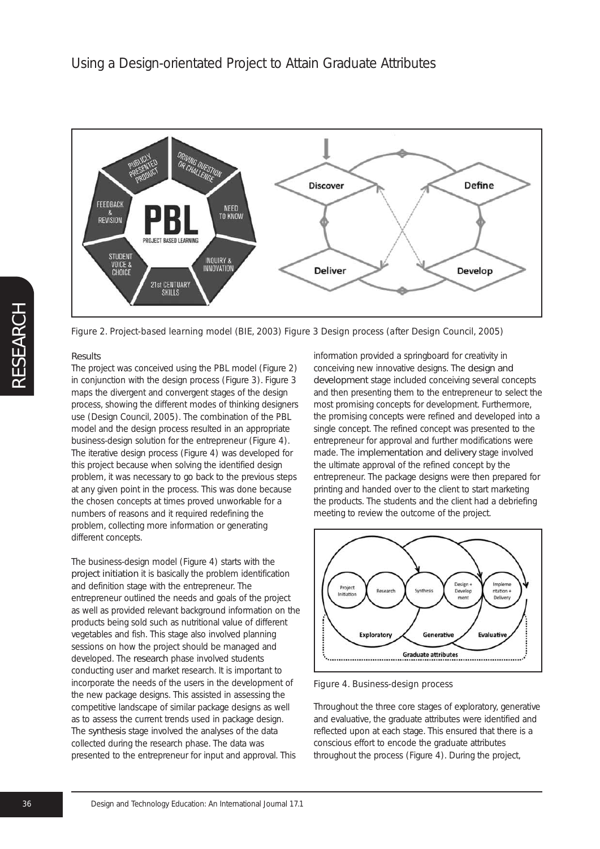

*Figure 2. Project-based learning model (BIE, 2003) Figure 3 Design process (after Design Council, 2005)*

### **Results**

The project was conceived using the PBL model (Figure 2) in conjunction with the design process (Figure 3). Figure 3 maps the divergent and convergent stages of the design process, showing the different modes of thinking designers use (Design Council, 2005). The combination of the PBL model and the design process resulted in an appropriate business-design solution for the entrepreneur (Figure 4). The iterative design process (Figure 4) was developed for this project because when solving the identified design problem, it was necessary to go back to the previous steps at any given point in the process. This was done because the chosen concepts at times proved unworkable for a numbers of reasons and it required redefining the problem, collecting more information or generating different concepts.

The business-design model (Figure 4) starts with the project initiation it is basically the problem identification and definition stage with the entrepreneur. The entrepreneur outlined the needs and goals of the project as well as provided relevant background information on the products being sold such as nutritional value of different vegetables and fish. This stage also involved planning sessions on how the project should be managed and developed. The research phase involved students conducting user and market research. It is important to incorporate the needs of the users in the development of the new package designs. This assisted in assessing the competitive landscape of similar package designs as well as to assess the current trends used in package design. The synthesis stage involved the analyses of the data collected during the research phase. The data was presented to the entrepreneur for input and approval. This

information provided a springboard for creativity in conceiving new innovative designs. The design and development stage included conceiving several concepts and then presenting them to the entrepreneur to select the most promising concepts for development. Furthermore, the promising concepts were refined and developed into a single concept. The refined concept was presented to the entrepreneur for approval and further modifications were made. The implementation and delivery stage involved the ultimate approval of the refined concept by the entrepreneur. The package designs were then prepared for printing and handed over to the client to start marketing the products. The students and the client had a debriefing meeting to review the outcome of the project.



*Figure 4. Business-design process*

Throughout the three core stages of exploratory, generative and evaluative, the graduate attributes were identified and reflected upon at each stage. This ensured that there is a conscious effort to encode the graduate attributes throughout the process (Figure 4). During the project,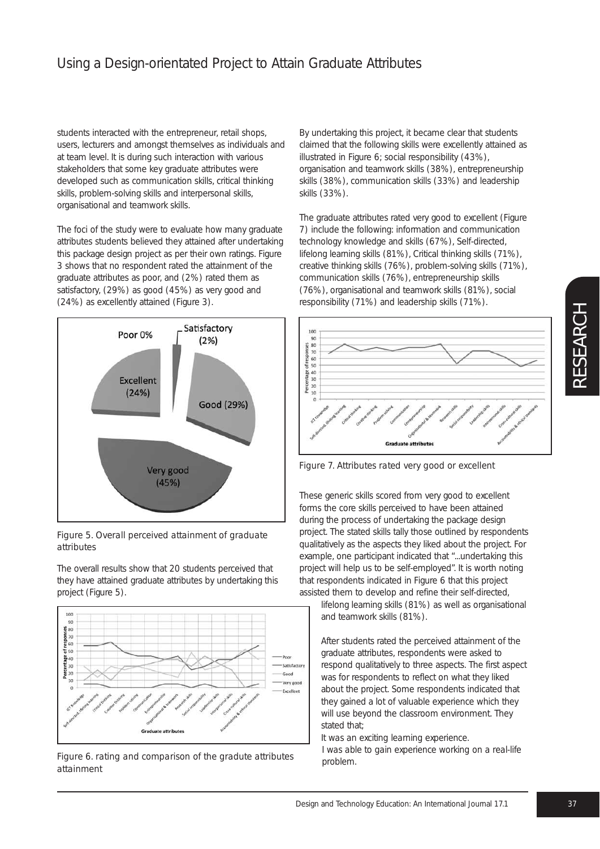students interacted with the entrepreneur, retail shops, users, lecturers and amongst themselves as individuals and at team level. It is during such interaction with various stakeholders that some key graduate attributes were developed such as communication skills, critical thinking skills, problem-solving skills and interpersonal skills, organisational and teamwork skills.

The foci of the study were to evaluate how many graduate attributes students believed they attained after undertaking this package design project as per their own ratings. Figure 3 shows that no respondent rated the attainment of the graduate attributes as poor, and (2%) rated them as satisfactory, (29%) as good (45%) as very good and (24%) as excellently attained (Figure 3).



*Figure 5. Overall perceived attainment of graduate attributes*

The overall results show that 20 students perceived that they have attained graduate attributes by undertaking this project (Figure 5).



*Figure 6. rating and comparison of the gradute attributes attainment*

By undertaking this project, it became clear that students claimed that the following skills were excellently attained as illustrated in Figure 6; social responsibility (43%), organisation and teamwork skills (38%), entrepreneurship skills (38%), communication skills (33%) and leadership skills (33%).

The graduate attributes rated very good to excellent (Figure 7) include the following: information and communication technology knowledge and skills (67%), Self-directed, lifelong learning skills (81%), Critical thinking skills (71%), creative thinking skills (76%), problem-solving skills (71%), communication skills (76%), entrepreneurship skills (76%), organisational and teamwork skills (81%), social responsibility (71%) and leadership skills (71%).



*Figure 7. Attributes rated very good or excellent*

These generic skills scored from very good to excellent forms the core skills perceived to have been attained during the process of undertaking the package design project. The stated skills tally those outlined by respondents qualitatively as the aspects they liked about the project. For example, one participant indicated that "*...undertaking this project will help us to be self-employed*". It is worth noting that respondents indicated in Figure 6 that this project assisted them to develop and refine their self-directed,

lifelong learning skills (81%) as well as organisational and teamwork skills (81%).

After students rated the perceived attainment of the graduate attributes, respondents were asked to respond qualitatively to three aspects. The first aspect was for respondents to reflect on what they liked about the project. Some respondents indicated that they gained a lot of valuable experience which they will use beyond the classroom environment. They stated that;

*It was an exciting learning experience. I was able to gain experience working on a real-life problem.*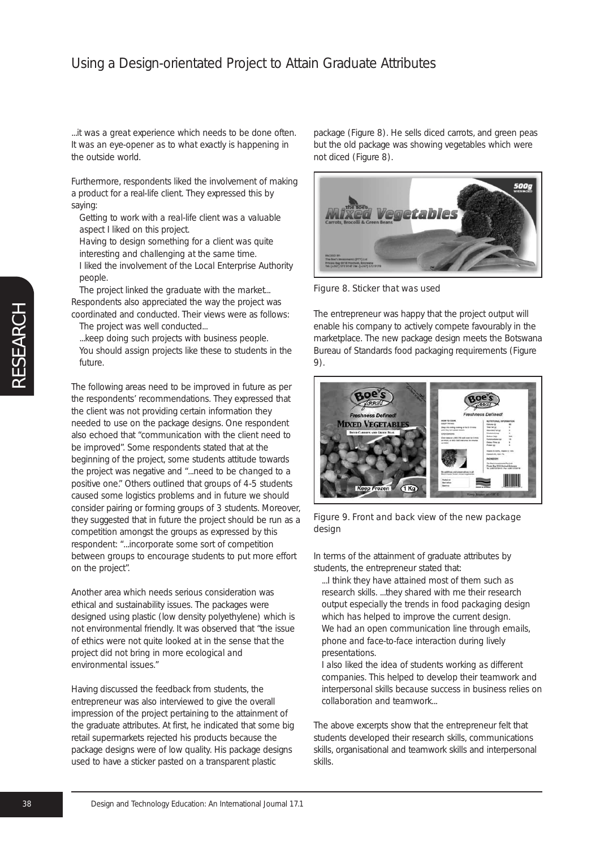*...it was a great experience which needs to be done often. It was an eye-opener as to what exactly is happening in the outside world.*

Furthermore, respondents liked the involvement of making a product for a real-life client. They expressed this by saying:

- *Getting to work with a real-life client was a valuable aspect I liked on this project.*
- *Having to design something for a client was quite interesting and challenging at the same time. I liked the involvement of the Local Enterprise Authority people.*

*The project linked the graduate with the market...* Respondents also appreciated the way the project was coordinated and conducted. Their views were as follows:

*The project was well conducted... ...keep doing such projects with business people.*

*You should assign projects like these to students in the future.*

The following areas need to be improved in future as per the respondents' recommendations. They expressed that the client was not providing certain information they needed to use on the package designs. One respondent also echoed that "*communication with the client need to be improved*". Some respondents stated that at the beginning of the project, some students attitude towards the project was negative and "*...need to be changed to a positive one*." Others outlined that groups of 4-5 students caused some logistics problems and in future we should consider pairing or forming groups of 3 students. Moreover, they suggested that in future the project should be run as a competition amongst the groups as expressed by this respondent: "*...incorporate some sort of competition between groups to encourage students to put more effort on the project*".

Another area which needs serious consideration was ethical and sustainability issues. The packages were designed using plastic (low density polyethylene) which is not environmental friendly. It was observed that "*the issue of ethics were not quite looked at in the sense that the project did not bring in more ecological and environmental issues.*"

Having discussed the feedback from students, the entrepreneur was also interviewed to give the overall impression of the project pertaining to the attainment of the graduate attributes. At first, he indicated that some big retail supermarkets rejected his products because the package designs were of low quality. His package designs used to have a sticker pasted on a transparent plastic

package (Figure 8). He sells diced carrots, and green peas but the old package was showing vegetables which were not diced (Figure 8).



*Figure 8. Sticker that was used*

The entrepreneur was happy that the project output will enable his company to actively compete favourably in the marketplace. The new package design meets the Botswana Bureau of Standards food packaging requirements (Figure 9).



*Figure 9. Front and back view of the new package design*

In terms of the attainment of graduate attributes by students, the entrepreneur stated that:

*...I think they have attained most of them such as research skills. ...they shared with me their research output especially the trends in food packaging design which has helped to improve the current design. We had an open communication line through emails, phone and face-to-face interaction during lively presentations.*

*I also liked the idea of students working as different companies. This helped to develop their teamwork and interpersonal skills because success in business relies on collaboration and teamwork...*

The above excerpts show that the entrepreneur felt that students developed their research skills, communications skills, organisational and teamwork skills and interpersonal skills.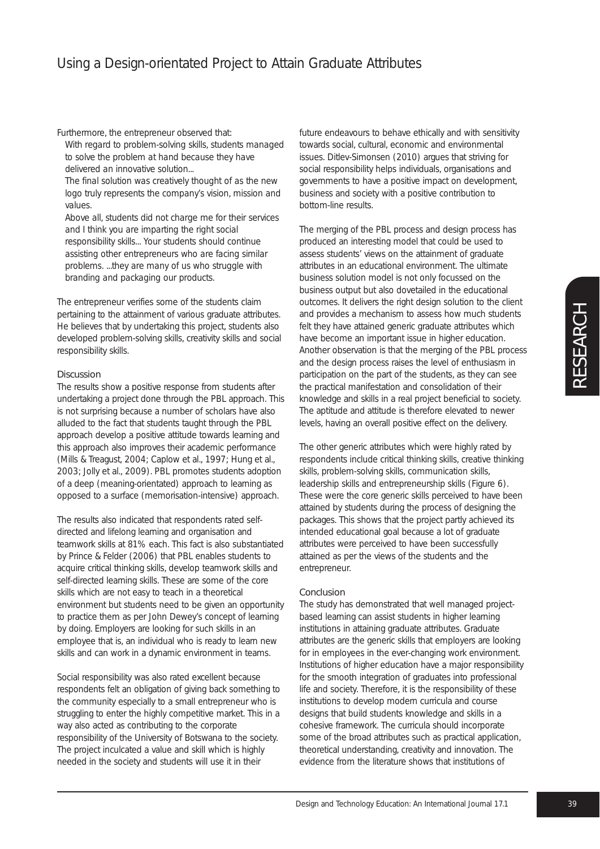Furthermore, the entrepreneur observed that:

*With regard to problem-solving skills, students managed to solve the problem at hand because they have delivered an innovative solution...*

*The final solution was creatively thought of as the new logo truly represents the company's vision, mission and values.*

*Above all, students did not charge me for their services and I think you are imparting the right social responsibility skills... Your students should continue assisting other entrepreneurs who are facing similar problems. ...they are many of us who struggle with branding and packaging our products.*

The entrepreneur verifies some of the students claim pertaining to the attainment of various graduate attributes. He believes that by undertaking this project, students also developed problem-solving skills, creativity skills and social responsibility skills.

# Discussion

The results show a positive response from students after undertaking a project done through the PBL approach. This is not surprising because a number of scholars have also alluded to the fact that students taught through the PBL approach develop a positive attitude towards learning and this approach also improves their academic performance (Mills & Treagust, 2004; Caplow et al., 1997; Hung et al., 2003; Jolly et al., 2009). PBL promotes students adoption of a deep (meaning-orientated) approach to learning as opposed to a surface (memorisation-intensive) approach.

The results also indicated that respondents rated selfdirected and lifelong learning and organisation and teamwork skills at 81% each. This fact is also substantiated by Prince & Felder (2006) that PBL enables students to acquire critical thinking skills, develop teamwork skills and self-directed learning skills. These are some of the core skills which are not easy to teach in a theoretical environment but students need to be given an opportunity to practice them as per John Dewey's concept of learning by doing. Employers are looking for such skills in an employee that is, an individual who is ready to learn new skills and can work in a dynamic environment in teams.

Social responsibility was also rated excellent because respondents felt an obligation of giving back something to the community especially to a small entrepreneur who is struggling to enter the highly competitive market. This in a way also acted as contributing to the corporate responsibility of the University of Botswana to the society. The project inculcated a value and skill which is highly needed in the society and students will use it in their

future endeavours to behave ethically and with sensitivity towards social, cultural, economic and environmental issues. Ditlev-Simonsen (2010) argues that striving for social responsibility helps individuals, organisations and governments to have a positive impact on development, business and society with a positive contribution to bottom-line results.

The merging of the PBL process and design process has produced an interesting model that could be used to assess students' views on the attainment of graduate attributes in an educational environment. The ultimate business solution model is not only focussed on the business output but also dovetailed in the educational outcomes. It delivers the right design solution to the client and provides a mechanism to assess how much students felt they have attained generic graduate attributes which have become an important issue in higher education. Another observation is that the merging of the PBL process and the design process raises the level of enthusiasm in participation on the part of the students, as they can see the practical manifestation and consolidation of their knowledge and skills in a real project beneficial to society. The aptitude and attitude is therefore elevated to newer levels, having an overall positive effect on the delivery.

The other generic attributes which were highly rated by respondents include critical thinking skills, creative thinking skills, problem-solving skills, communication skills, leadership skills and entrepreneurship skills (Figure 6). These were the core generic skills perceived to have been attained by students during the process of designing the packages. This shows that the project partly achieved its intended educational goal because a lot of graduate attributes were perceived to have been successfully attained as per the views of the students and the entrepreneur.

# Conclusion

The study has demonstrated that well managed projectbased learning can assist students in higher learning institutions in attaining graduate attributes. Graduate attributes are the generic skills that employers are looking for in employees in the ever-changing work environment. Institutions of higher education have a major responsibility for the smooth integration of graduates into professional life and society. Therefore, it is the responsibility of these institutions to develop modern curricula and course designs that build students knowledge and skills in a cohesive framework. The curricula should incorporate some of the broad attributes such as practical application, theoretical understanding, creativity and innovation. The evidence from the literature shows that institutions of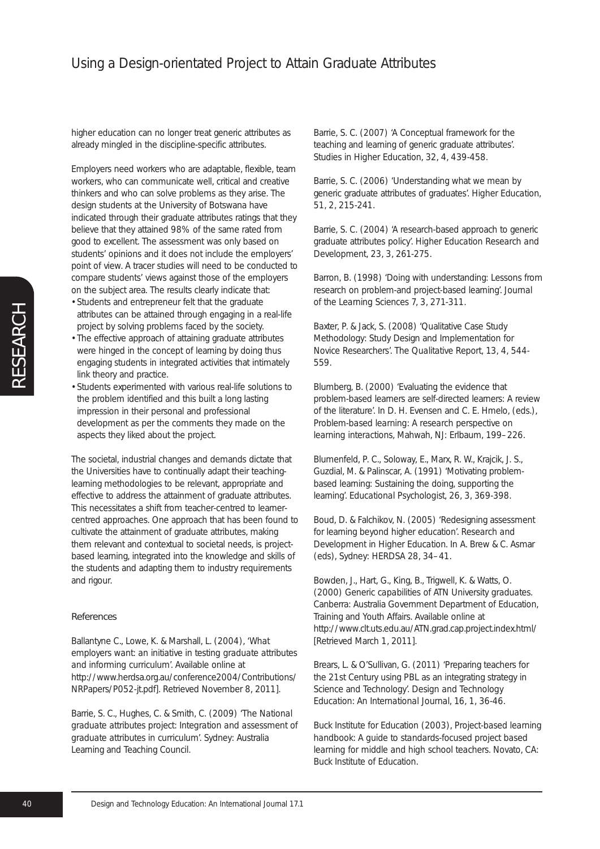higher education can no longer treat generic attributes as already mingled in the discipline-specific attributes.

Employers need workers who are adaptable, flexible, team workers, who can communicate well, critical and creative thinkers and who can solve problems as they arise. The design students at the University of Botswana have indicated through their graduate attributes ratings that they believe that they attained 98% of the same rated from good to excellent. The assessment was only based on students' opinions and it does not include the employers' point of view. A tracer studies will need to be conducted to compare students' views against those of the employers on the subject area. The results clearly indicate that:

- Students and entrepreneur felt that the graduate attributes can be attained through engaging in a real-life project by solving problems faced by the society.
- The effective approach of attaining graduate attributes were hinged in the concept of learning by doing thus engaging students in integrated activities that intimately link theory and practice.
- Students experimented with various real-life solutions to the problem identified and this built a long lasting impression in their personal and professional development as per the comments they made on the aspects they liked about the project.

The societal, industrial changes and demands dictate that the Universities have to continually adapt their teachinglearning methodologies to be relevant, appropriate and effective to address the attainment of graduate attributes. This necessitates a shift from teacher-centred to learnercentred approaches. One approach that has been found to cultivate the attainment of graduate attributes, making them relevant and contextual to societal needs, is projectbased learning, integrated into the knowledge and skills of the students and adapting them to industry requirements and rigour.

#### References

Ballantyne C., Lowe, K. & Marshall, L. (2004), '*What employers want: an initiative in testing graduate attributes and informing curriculum*'. Available online at http://www.herdsa.org.au/conference2004/Contributions/ NRPapers/P052-jt.pdf]. Retrieved November 8, 2011].

Barrie, S. C., Hughes, C. & Smith, C. (2009) '*The National graduate attributes project: Integration and assessment of graduate attributes in curriculum*'. Sydney: Australia Learning and Teaching Council.

Barrie, S. C. (2007) 'A Conceptual framework for the teaching and learning of generic graduate attributes'. *Studies in Higher Education*, 32, 4, 439-458.

Barrie, S. C. (2006) 'Understanding what we mean by generic graduate attributes of graduates'. *Higher Education*, 51, 2, 215-241.

Barrie, S. C. (2004) 'A research-based approach to generic graduate attributes policy'. *Higher Education Research and Development*, 23, 3, 261-275.

Barron, B. (1998) 'Doing with understanding: Lessons from research on problem-and project-based learning'. *Journal of the Learning Sciences* 7, 3, 271-311.

Baxter, P. & Jack, S. (2008) 'Qualitative Case Study Methodology: Study Design and Implementation for Novice Researchers'. *The Qualitative Report*, 13, 4, 544- 559.

Blumberg, B. (2000) 'Evaluating the evidence that problem-based learners are self-directed learners: A review of the literature'. In D. H. Evensen and C. E. Hmelo, (eds.), *Problem-based learning: A research perspective on learning interactions*, Mahwah, NJ: Erlbaum, 199–226.

Blumenfeld, P. C., Soloway, E., Marx, R. W., Krajcik, J. S., Guzdial, M. & Palinscar, A. (1991) 'Motivating problembased learning: Sustaining the doing, supporting the learning'. *Educational Psychologist*, 26, 3, 369-398.

Boud, D. & Falchikov, N. (2005) 'Redesigning assessment for learning beyond higher education'. *Research and Development in Higher Education*. In A. Brew & C. Asmar (eds), Sydney: HERDSA 28, 34–41.

Bowden, J., Hart, G., King, B., Trigwell, K. & Watts, O. (2000) *Generic capabilities of ATN University graduates*. Canberra: Australia Government Department of Education, Training and Youth Affairs. Available online at http://www.clt.uts.edu.au/ATN.grad.cap.project.index.html/ [Retrieved March 1, 2011].

Brears, L. & O'Sullivan, G. (2011) 'Preparing teachers for the 21st Century using PBL as an integrating strategy in Science and Technology'. *Design and Technology Education: An International Journal*, 16, 1, 36-46.

Buck Institute for Education (2003), *Project-based learning handbook: A guide to standards-focused project based learning for middle and high school teachers*. Novato, CA: Buck Institute of Education.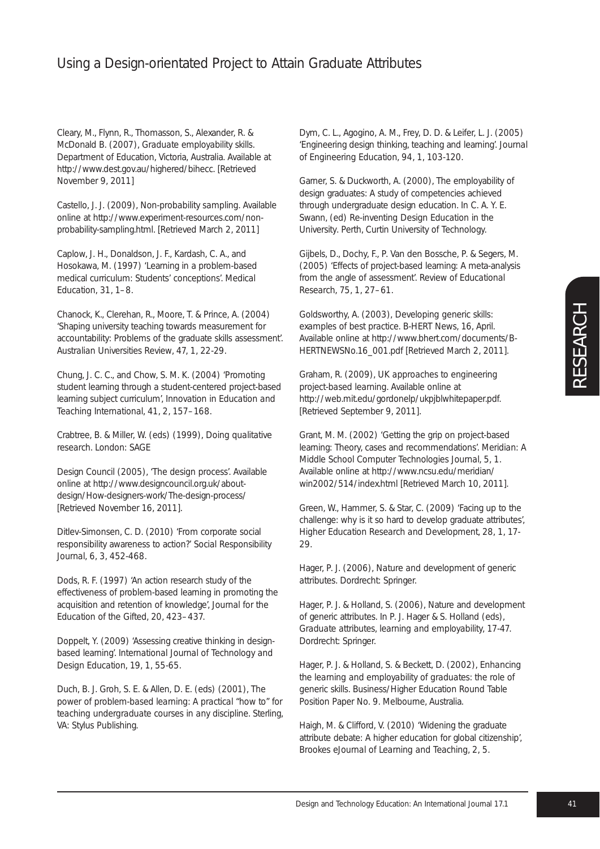Cleary, M., Flynn, R., Thomasson, S., Alexander, R. & McDonald B. (2007), *Graduate employability skills*. Department of Education, Victoria, Australia. Available at http://www.dest.gov.au/highered/bihecc. [Retrieved November 9, 2011]

Castello, J. J. (2009), *Non-probability sampling*. Available online at http://www.experiment-resources.com/nonprobability-sampling.html. [Retrieved March 2, 2011]

Caplow, J. H., Donaldson, J. F., Kardash, C. A., and Hosokawa, M. (1997) 'Learning in a problem-based medical curriculum: Students' conceptions'. *Medical Education*, 31, 1–8.

Chanock, K., Clerehan, R., Moore, T. & Prince, A. (2004) 'Shaping university teaching towards measurement for accountability: Problems of the graduate skills assessment'. *Australian Universities Review*, 47, 1, 22-29.

Chung, J. C. C., and Chow, S. M. K. (2004) 'Promoting student learning through a student-centered project-based learning subject curriculum', *Innovation in Education and Teaching International*, 41, 2, 157–168.

Crabtree, B. & Miller, W. (eds) (1999), *Doing qualitative research*. London: SAGE

Design Council (2005), '*The design process*'. Available online at http://www.designcouncil.org.uk/aboutdesign/How-designers-work/The-design-process/ [Retrieved November 16, 2011].

Ditlev-Simonsen, C. D. (2010) 'From corporate social responsibility awareness to action?' *Social Responsibility Journal*, 6, 3, 452-468.

Dods, R. F. (1997) 'An action research study of the effectiveness of problem-based learning in promoting the acquisition and retention of knowledge', *Journal for the Education of the Gifted*, 20, 423–437.

Doppelt, Y. (2009) 'Assessing creative thinking in designbased learning'. *International Journal of Technology and Design Education*, 19, 1, 55-65.

Duch, B. J. Groh, S. E. & Allen, D. E. (eds) (2001), *The power of problem-based learning: A practical "how to" for teaching undergraduate courses in any discipline*. Sterling, VA: Stylus Publishing.

Dym, C. L., Agogino, A. M., Frey, D. D. & Leifer, L. J. (2005) 'Engineering design thinking, teaching and learning'. *Journal of Engineering Education*, 94, 1, 103-120.

Garner, S. & Duckworth, A. (2000), The employability of design graduates: A study of competencies achieved through undergraduate design education. In C. A. Y. E. Swann, (ed) *Re-inventing Design Education in the University*. Perth, Curtin University of Technology.

Gijbels, D., Dochy, F., P. Van den Bossche, P. & Segers, M. (2005) 'Effects of project-based learning: A meta-analysis from the angle of assessment'. *Review of Educational Research*, 75, 1, 27–61.

Goldsworthy, A. (2003), *Developing generic skills: examples of best practice*. B-HERT News, 16, April. Available online at http://www.bhert.com/documents/B-HERTNEWSNo.16\_001.pdf [Retrieved March 2, 2011].

Graham, R. (2009), *UK approaches to engineering project-based learning*. Available online at http://web.mit.edu/gordonelp/ukpjblwhitepaper.pdf. [Retrieved September 9, 2011].

Grant, M. M. (2002) 'Getting the grip on project-based learning: Theory, cases and recommendations'. *Meridian: A Middle School Computer Technologies Journal*, 5, 1. Available online at http://www.ncsu.edu/meridian/ win2002/514/index.html [Retrieved March 10, 2011].

Green, W., Hammer, S. & Star, C. (2009) 'Facing up to the challenge: why is it so hard to develop graduate attributes', *Higher Education Research and Development*, 28, 1, 17- 29.

Hager, P. J. (2006), *Nature and development of generic attributes*. Dordrecht: Springer.

Hager, P. J. & Holland, S. (2006), Nature and development of generic attributes. In P. J. Hager & S. Holland (eds), *Graduate attributes, learning and employability*, 17-47. Dordrecht: Springer.

Hager, P. J. & Holland, S. & Beckett, D. (2002), *Enhancing the learning and employability of graduates: the role of generic skills*. Business/Higher Education Round Table Position Paper No. 9. Melbourne, Australia.

Haigh, M. & Clifford, V. (2010) 'Widening the graduate attribute debate: A higher education for global citizenship', *Brookes eJournal of Learning and Teaching*, 2, 5.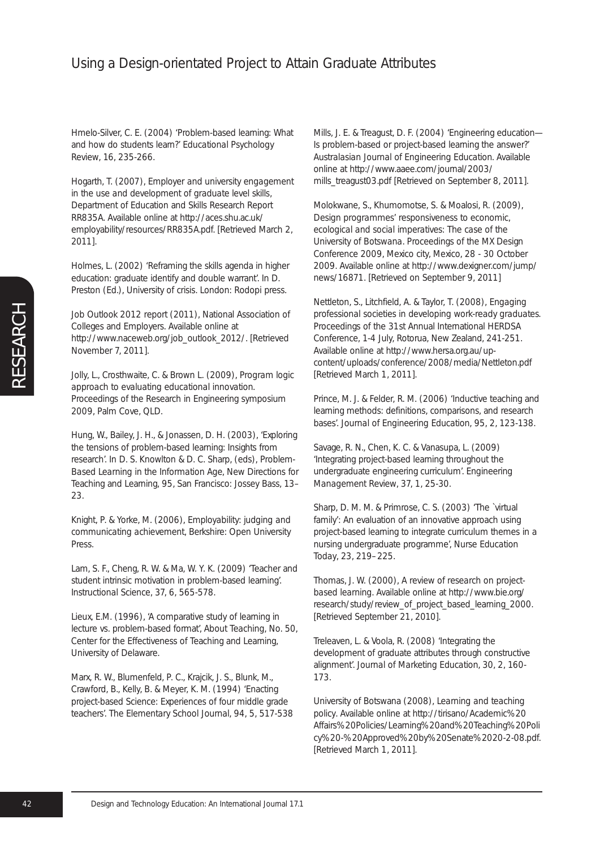Hmelo-Silver, C. E. (2004) 'Problem-based learning: What and how do students learn?' *Educational Psychology Review*, 16, 235-266.

Hogarth, T. (2007), *Employer and university engagement in the use and development of graduate level skills*, Department of Education and Skills Research Report RR835A. Available online at http://aces.shu.ac.uk/ employability/resources/RR835A.pdf. [Retrieved March 2, 2011].

Holmes, L. (2002) 'Reframing the skills agenda in higher education: graduate identify and double warrant'. In D. Preston (Ed.), *University of crisis*. London: Rodopi press.

*Job Outlook 2012 report* (2011), National Association of Colleges and Employers. Available online at http://www.naceweb.org/job\_outlook\_2012/. [Retrieved November 7, 2011].

Jolly, L., Crosthwaite, C. & Brown L. (2009), *Program logic approach to evaluating educational innovation*. Proceedings of the Research in Engineering symposium 2009, Palm Cove, QLD.

Hung, W., Bailey, J. H., & Jonassen, D. H. (2003), 'Exploring the tensions of problem-based learning: Insights from research'. In D. S. Knowlton & D. C. Sharp, (eds), *Problem-Based Learning in the Information Age*, New Directions for Teaching and Learning, 95, San Francisco: Jossey Bass, 13– 23.

Knight, P. & Yorke, M. (2006), *Employability: judging and communicating achievement*, Berkshire: Open University Press.

Lam, S. F., Cheng, R. W. & Ma, W. Y. K. (2009) 'Teacher and student intrinsic motivation in problem-based learning'. *Instructional Science*, 37, 6, 565-578.

Lieux, E.M. (1996), 'A comparative study of learning in lecture vs. problem-based format', *About Teaching*, No. 50, Center for the Effectiveness of Teaching and Learning, University of Delaware.

Marx, R. W., Blumenfeld, P. C., Krajcik, J. S., Blunk, M., Crawford, B., Kelly, B. & Meyer, K. M. (1994) 'Enacting project-based Science: Experiences of four middle grade teachers'. *The Elementary School Journal*, 94, 5, 517-538 Mills, J. E. & Treagust, D. F. (2004) 'Engineering education— Is problem-based or project-based learning the answer?' *Australasian Journal of Engineering Education*. Available online at http://www.aaee.com/journal/2003/ mills\_treagust03.pdf [Retrieved on September 8, 2011].

Molokwane, S., Khumomotse, S. & Moalosi, R. (2009), *Design programmes' responsiveness to economic, ecological and social imperatives: The case of the University of Botswana*. Proceedings of the MX Design Conference 2009, Mexico city, Mexico, 28 - 30 October 2009. Available online at http://www.dexigner.com/jump/ news/16871. [Retrieved on September 9, 2011]

Nettleton, S., Litchfield, A. & Taylor, T. (2008), *Engaging professional societies in developing work-ready graduates*. Proceedings of the 31st Annual International HERDSA Conference, 1-4 July, Rotorua, New Zealand, 241-251. Available online at http://www.hersa.org.au/upcontent/uploads/conference/2008/media/Nettleton.pdf [Retrieved March 1, 2011].

Prince, M. J. & Felder, R. M. (2006) 'Inductive teaching and learning methods: definitions, comparisons, and research bases'. *Journal of Engineering Education*, 95, 2, 123-138.

Savage, R. N., Chen, K. C. & Vanasupa, L. (2009) 'Integrating project-based learning throughout the undergraduate engineering curriculum'. *Engineering Management Review*, 37, 1, 25-30.

Sharp, D. M. M. & Primrose, C. S. (2003) 'The `virtual family': An evaluation of an innovative approach using project-based learning to integrate curriculum themes in a nursing undergraduate programme', *Nurse Education Today*, 23, 219–225.

Thomas, J. W. (2000), *A review of research on projectbased learning*. Available online at http://www.bie.org/ research/study/review\_of\_project\_based\_learning\_2000. [Retrieved September 21, 2010].

Treleaven, L. & Voola, R. (2008) 'Integrating the development of graduate attributes through constructive alignment'. *Journal of Marketing Education*, 30, 2, 160- 173.

University of Botswana (2008), *Learning and teaching policy*. Available online at http://tirisano/Academic%20 Affairs%20Policies/Learning%20and%20Teaching%20Poli cy%20-%20Approved%20by%20Senate%2020-2-08.pdf. [Retrieved March 1, 2011].